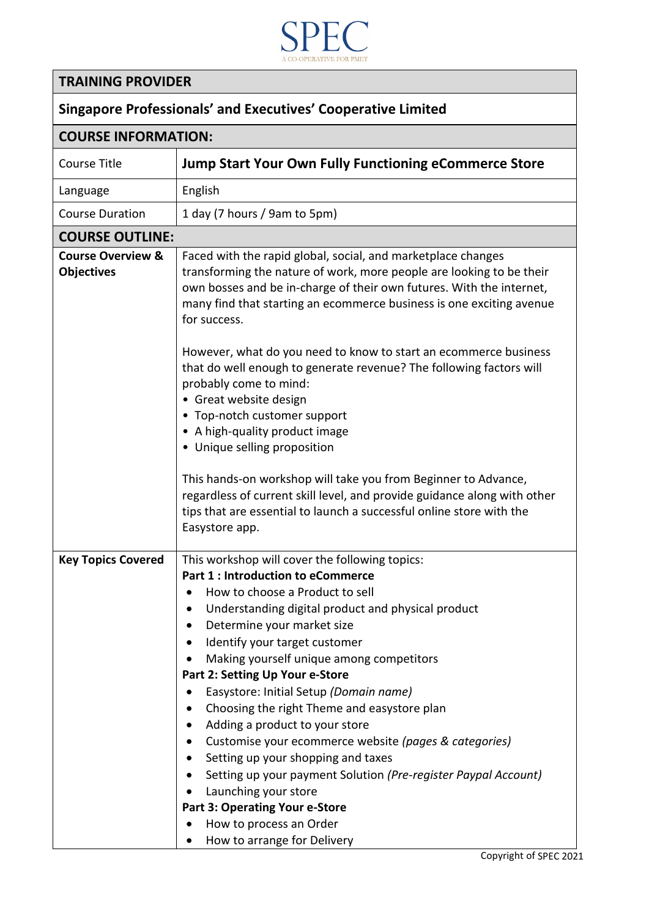

## **TRAINING PROVIDER**

 $\overline{\phantom{a}}$ 

| <b>Singapore Professionals' and Executives' Cooperative Limited</b> |                                                                                                                                                                                                                                                                                                                                                                                                                                                                                                                                                                                                                                                                                                                                                                                                                                               |  |
|---------------------------------------------------------------------|-----------------------------------------------------------------------------------------------------------------------------------------------------------------------------------------------------------------------------------------------------------------------------------------------------------------------------------------------------------------------------------------------------------------------------------------------------------------------------------------------------------------------------------------------------------------------------------------------------------------------------------------------------------------------------------------------------------------------------------------------------------------------------------------------------------------------------------------------|--|
| <b>COURSE INFORMATION:</b>                                          |                                                                                                                                                                                                                                                                                                                                                                                                                                                                                                                                                                                                                                                                                                                                                                                                                                               |  |
| <b>Course Title</b>                                                 | <b>Jump Start Your Own Fully Functioning eCommerce Store</b>                                                                                                                                                                                                                                                                                                                                                                                                                                                                                                                                                                                                                                                                                                                                                                                  |  |
| Language                                                            | English                                                                                                                                                                                                                                                                                                                                                                                                                                                                                                                                                                                                                                                                                                                                                                                                                                       |  |
| <b>Course Duration</b>                                              | 1 day (7 hours / 9am to 5pm)                                                                                                                                                                                                                                                                                                                                                                                                                                                                                                                                                                                                                                                                                                                                                                                                                  |  |
| <b>COURSE OUTLINE:</b>                                              |                                                                                                                                                                                                                                                                                                                                                                                                                                                                                                                                                                                                                                                                                                                                                                                                                                               |  |
| <b>Course Overview &amp;</b><br><b>Objectives</b>                   | Faced with the rapid global, social, and marketplace changes<br>transforming the nature of work, more people are looking to be their<br>own bosses and be in-charge of their own futures. With the internet,<br>many find that starting an ecommerce business is one exciting avenue<br>for success.<br>However, what do you need to know to start an ecommerce business<br>that do well enough to generate revenue? The following factors will<br>probably come to mind:<br>• Great website design<br>• Top-notch customer support<br>• A high-quality product image<br>• Unique selling proposition<br>This hands-on workshop will take you from Beginner to Advance,<br>regardless of current skill level, and provide guidance along with other<br>tips that are essential to launch a successful online store with the<br>Easystore app. |  |
| <b>Key Topics Covered</b>                                           | This workshop will cover the following topics:<br><b>Part 1: Introduction to eCommerce</b><br>How to choose a Product to sell<br>Understanding digital product and physical product<br>Determine your market size<br>Identify your target customer<br>Making yourself unique among competitors<br>Part 2: Setting Up Your e-Store<br>Easystore: Initial Setup (Domain name)<br>Choosing the right Theme and easystore plan<br>Adding a product to your store<br>Customise your ecommerce website (pages & categories)<br>Setting up your shopping and taxes<br>Setting up your payment Solution (Pre-register Paypal Account)<br>Launching your store<br><b>Part 3: Operating Your e-Store</b><br>How to process an Order<br>How to arrange for Delivery                                                                                      |  |